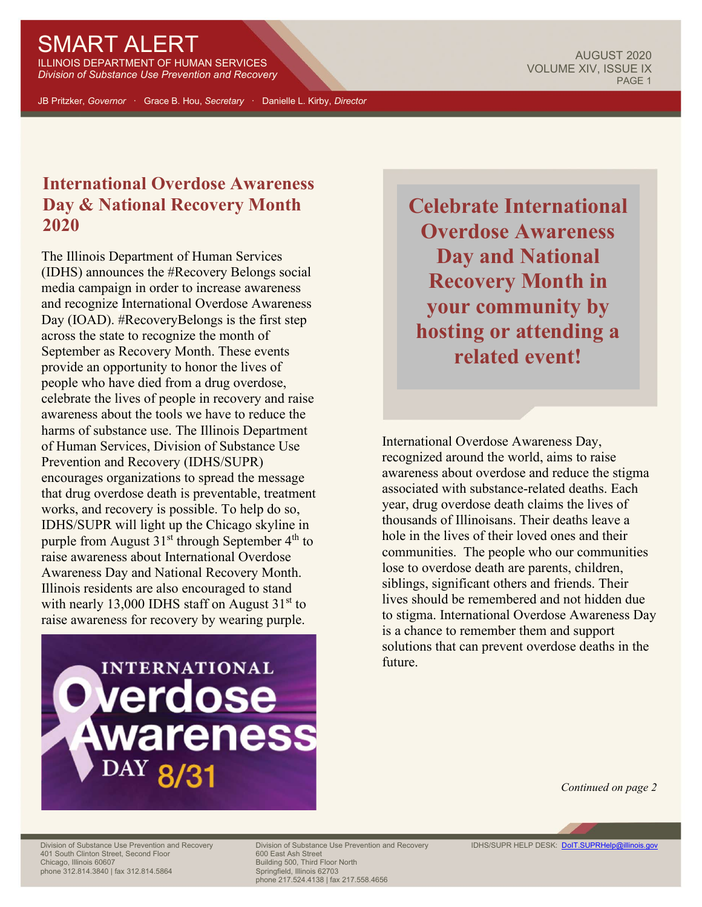## SMART ALERT

ILLINOIS DEPARTMENT OF HUMAN SERVICES *Division of Substance Use Prevention and Recovery*

JB Pritzker, *Governor* · Grace B. Hou, *Secretary* · Danielle L. Kirby, *Director*

## **International Overdose Awareness Day & National Recovery Month 2020**

The Illinois Department of Human Services (IDHS) announces the #Recovery Belongs social media campaign in order to increase awareness and recognize International Overdose Awareness Day (IOAD). #RecoveryBelongs is the first step across the state to recognize the month of September as Recovery Month. These events provide an opportunity to honor the lives of people who have died from a drug overdose, celebrate the lives of people in recovery and raise awareness about the tools we have to reduce the harms of substance use. The Illinois Department of Human Services, Division of Substance Use Prevention and Recovery (IDHS/SUPR) encourages organizations to spread the message that drug overdose death is preventable, treatment works, and recovery is possible. To help do so, IDHS/SUPR will light up the Chicago skyline in purple from August  $31<sup>st</sup>$  through September  $4<sup>th</sup>$  to raise awareness about International Overdose Awareness Day and National Recovery Month. Illinois residents are also encouraged to stand with nearly 13,000 IDHS staff on August  $31<sup>st</sup>$  to raise awareness for recovery by wearing purple.



**Celebrate International Overdose Awareness Day and National Recovery Month in your community by hosting or attending a related event!**

International Overdose Awareness Day, recognized around the world, aims to raise awareness about overdose and reduce the stigma associated with substance-related deaths. Each year, drug overdose death claims the lives of thousands of Illinoisans. Their deaths leave a hole in the lives of their loved ones and their communities. The people who our communities lose to overdose death are parents, children, siblings, significant others and friends. Their lives should be remembered and not hidden due to stigma. International Overdose Awareness Day is a chance to remember them and support solutions that can prevent overdose deaths in the future.

*Continued on page 2*

401 South Clinton Street, Second Floor<br>Chicago, Illinois 60607 phone 312.814.3840 | fax 312.814.5864

Division of Substance Use Prevention and Recovery Division of Substance Use Prevention and Recovery IDHS/SUPR HELP DESK: **DoIT.SUPRHelp@illinois.gov**<br>401 South Clinton Street, Second Floor 600 East Ash Street 600 East Ash Building 500, Third Floor North<br>Springfield, Illinois 62703 phone 217.524.4138 | fax 217.558.4656